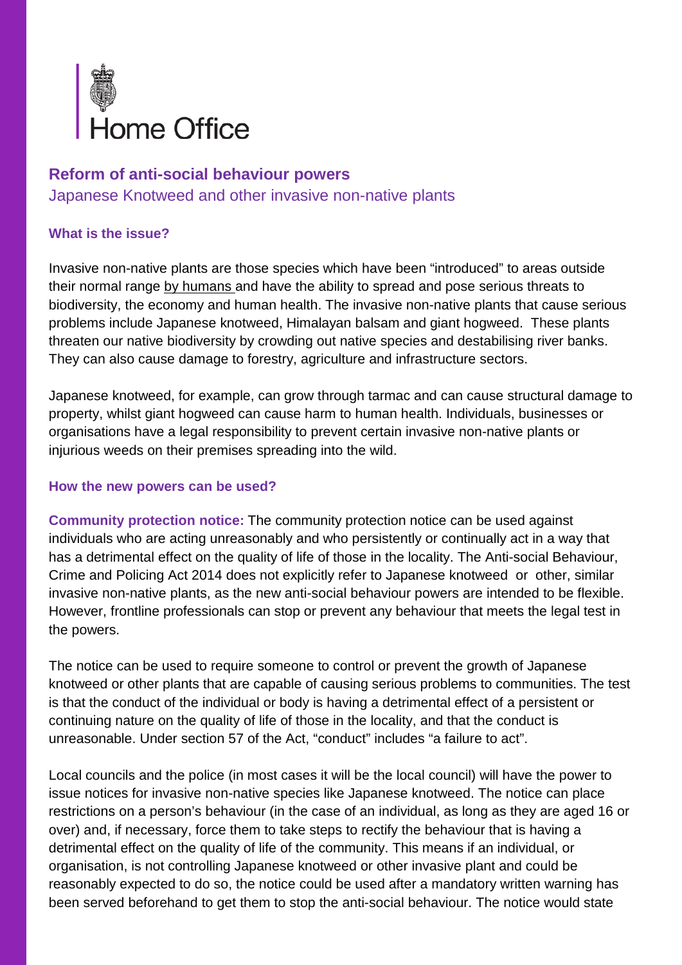

## **Reform of anti-social behaviour powers**

Japanese Knotweed and other invasive non-native plants

## **What is the issue?**

Invasive non-native plants are those species which have been "introduced" to areas outside their normal range by humans and have the ability to spread and pose serious threats to biodiversity, the economy and human health. The invasive non-native plants that cause serious problems include Japanese knotweed, Himalayan balsam and giant hogweed. These plants threaten our native biodiversity by crowding out native species and destabilising river banks. They can also cause damage to forestry, agriculture and infrastructure sectors.

Japanese knotweed, for example, can grow through tarmac and can cause structural damage to property, whilst giant hogweed can cause harm to human health. Individuals, businesses or organisations have a legal responsibility to prevent certain invasive non-native plants or injurious weeds on their premises spreading into the wild.

## **How the new powers can be used?**

**Community protection notice:** The community protection notice can be used against individuals who are acting unreasonably and who persistently or continually act in a way that has a detrimental effect on the quality of life of those in the locality. The Anti-social Behaviour, Crime and Policing Act 2014 does not explicitly refer to Japanese knotweed or other, similar invasive non-native plants, as the new anti-social behaviour powers are intended to be flexible. However, frontline professionals can stop or prevent any behaviour that meets the legal test in the powers.

The notice can be used to require someone to control or prevent the growth of Japanese knotweed or other plants that are capable of causing serious problems to communities. The test is that the conduct of the individual or body is having a detrimental effect of a persistent or continuing nature on the quality of life of those in the locality, and that the conduct is unreasonable. Under section 57 of the Act, "conduct" includes "a failure to act".

Local councils and the police (in most cases it will be the local council) will have the power to issue notices for invasive non-native species like Japanese knotweed. The notice can place restrictions on a person's behaviour (in the case of an individual, as long as they are aged 16 or over) and, if necessary, force them to take steps to rectify the behaviour that is having a detrimental effect on the quality of life of the community. This means if an individual, or organisation, is not controlling Japanese knotweed or other invasive plant and could be reasonably expected to do so, the notice could be used after a mandatory written warning has been served beforehand to get them to stop the anti-social behaviour. The notice would state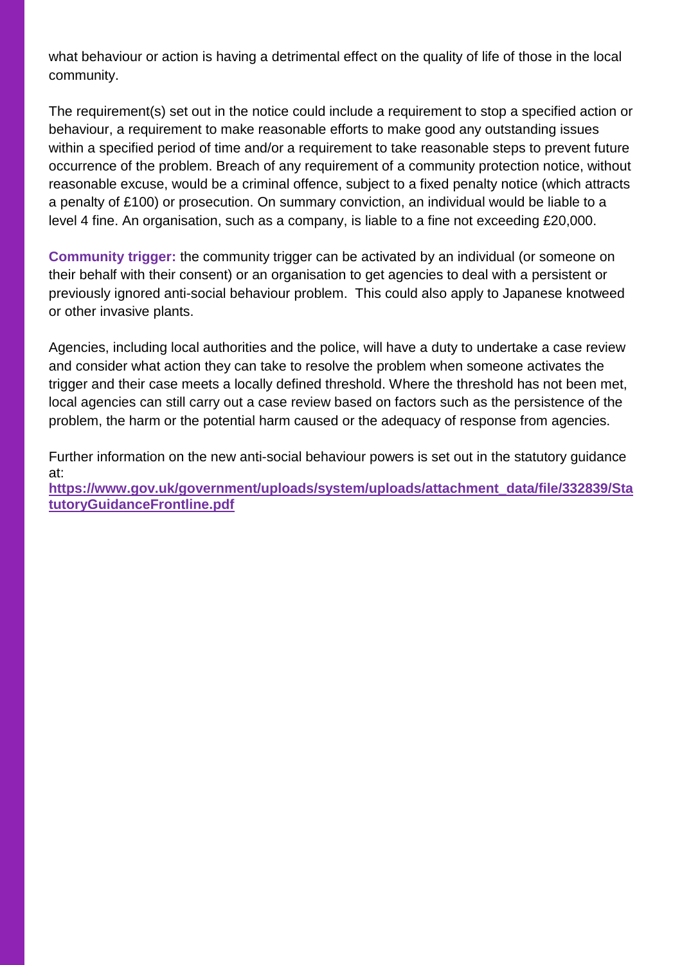what behaviour or action is having a detrimental effect on the quality of life of those in the local community.

The requirement(s) set out in the notice could include a requirement to stop a specified action or behaviour, a requirement to make reasonable efforts to make good any outstanding issues within a specified period of time and/or a requirement to take reasonable steps to prevent future occurrence of the problem. Breach of any requirement of a community protection notice, without reasonable excuse, would be a criminal offence, subject to a fixed penalty notice (which attracts a penalty of £100) or prosecution. On summary conviction, an individual would be liable to a level 4 fine. An organisation, such as a company, is liable to a fine not exceeding £20,000.

**Community trigger:** the community trigger can be activated by an individual (or someone on their behalf with their consent) or an organisation to get agencies to deal with a persistent or previously ignored anti-social behaviour problem. This could also apply to Japanese knotweed or other invasive plants.

Agencies, including local authorities and the police, will have a duty to undertake a case review and consider what action they can take to resolve the problem when someone activates the trigger and their case meets a locally defined threshold. Where the threshold has not been met, local agencies can still carry out a case review based on factors such as the persistence of the problem, the harm or the potential harm caused or the adequacy of response from agencies.

Further information on the new anti-social behaviour powers is set out in the statutory guidance at:

**[https://www.gov.uk/government/uploads/system/uploads/attachment\\_data/file/332839/Sta](https://www.gov.uk/government/uploads/system/uploads/attachment_data/file/332839/StatutoryGuidanceFrontline.pdf) [tutoryGuidanceFrontline.pdf](https://www.gov.uk/government/uploads/system/uploads/attachment_data/file/332839/StatutoryGuidanceFrontline.pdf)**